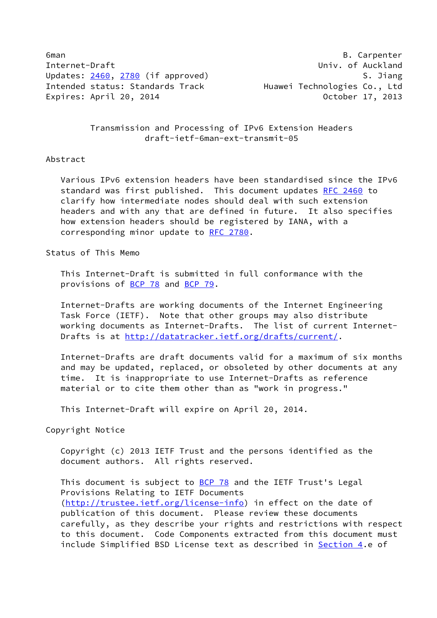6man B. Carpenter Internet-Draft **Contract Contract Contract Contract Contract Contract Contract Contract Contract Contract Contract** Updates: [2460](https://datatracker.ietf.org/doc/pdf/rfc2460), [2780](https://datatracker.ietf.org/doc/pdf/rfc2780) (if approved) S. Jiang Intended status: Standards Track Huawei Technologies Co., Ltd Expires: April 20, 2014 October 17, 2013

 Transmission and Processing of IPv6 Extension Headers draft-ietf-6man-ext-transmit-05

## Abstract

 Various IPv6 extension headers have been standardised since the IPv6 standard was first published. This document updates [RFC 2460](https://datatracker.ietf.org/doc/pdf/rfc2460) to clarify how intermediate nodes should deal with such extension headers and with any that are defined in future. It also specifies how extension headers should be registered by IANA, with a corresponding minor update to [RFC 2780](https://datatracker.ietf.org/doc/pdf/rfc2780).

Status of This Memo

 This Internet-Draft is submitted in full conformance with the provisions of [BCP 78](https://datatracker.ietf.org/doc/pdf/bcp78) and [BCP 79](https://datatracker.ietf.org/doc/pdf/bcp79).

 Internet-Drafts are working documents of the Internet Engineering Task Force (IETF). Note that other groups may also distribute working documents as Internet-Drafts. The list of current Internet Drafts is at<http://datatracker.ietf.org/drafts/current/>.

 Internet-Drafts are draft documents valid for a maximum of six months and may be updated, replaced, or obsoleted by other documents at any time. It is inappropriate to use Internet-Drafts as reference material or to cite them other than as "work in progress."

This Internet-Draft will expire on April 20, 2014.

Copyright Notice

 Copyright (c) 2013 IETF Trust and the persons identified as the document authors. All rights reserved.

This document is subject to **[BCP 78](https://datatracker.ietf.org/doc/pdf/bcp78)** and the IETF Trust's Legal Provisions Relating to IETF Documents [\(http://trustee.ietf.org/license-info](http://trustee.ietf.org/license-info)) in effect on the date of publication of this document. Please review these documents carefully, as they describe your rights and restrictions with respect to this document. Code Components extracted from this document must include Simplified BSD License text as described in [Section 4.](#page-6-0)e of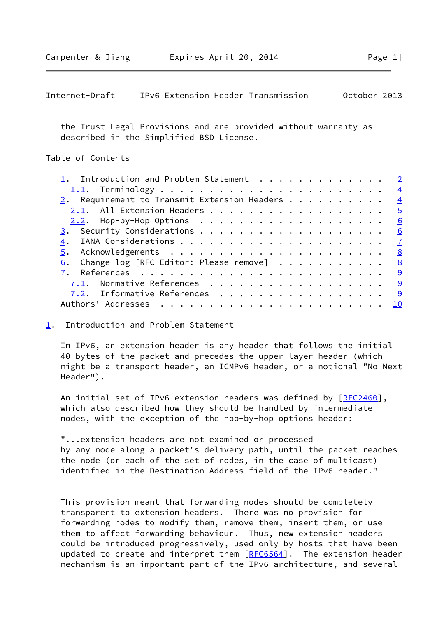<span id="page-1-1"></span>

| IPv6 Extension Header Transmission<br>October 2013<br>Internet-Draft |
|----------------------------------------------------------------------|
|----------------------------------------------------------------------|

 the Trust Legal Provisions and are provided without warranty as described in the Simplified BSD License.

# Table of Contents

| 1. Introduction and Problem Statement 2                    |    |
|------------------------------------------------------------|----|
|                                                            |    |
| 2. Requirement to Transmit Extension Headers $\frac{4}{5}$ |    |
| 2.1. All Extension Headers 5                               |    |
|                                                            |    |
|                                                            |    |
|                                                            |    |
|                                                            |    |
| 6. Change log [RFC Editor: Please remove] 8                |    |
|                                                            |    |
| <u>7.1</u> . Normative References 9                        |    |
| 7.2. Informative References 9                              |    |
|                                                            | 10 |
|                                                            |    |

### <span id="page-1-0"></span>[1](#page-1-0). Introduction and Problem Statement

 In IPv6, an extension header is any header that follows the initial 40 bytes of the packet and precedes the upper layer header (which might be a transport header, an ICMPv6 header, or a notional "No Next Header").

An initial set of IPv6 extension headers was defined by [\[RFC2460](https://datatracker.ietf.org/doc/pdf/rfc2460)], which also described how they should be handled by intermediate nodes, with the exception of the hop-by-hop options header:

 "...extension headers are not examined or processed by any node along a packet's delivery path, until the packet reaches the node (or each of the set of nodes, in the case of multicast) identified in the Destination Address field of the IPv6 header."

 This provision meant that forwarding nodes should be completely transparent to extension headers. There was no provision for forwarding nodes to modify them, remove them, insert them, or use them to affect forwarding behaviour. Thus, new extension headers could be introduced progressively, used only by hosts that have been updated to create and interpret them [\[RFC6564](https://datatracker.ietf.org/doc/pdf/rfc6564)]. The extension header mechanism is an important part of the IPv6 architecture, and several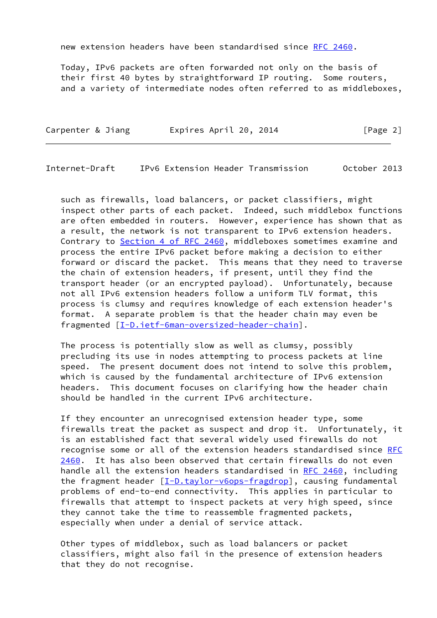new extension headers have been standardised since [RFC 2460.](https://datatracker.ietf.org/doc/pdf/rfc2460)

 Today, IPv6 packets are often forwarded not only on the basis of their first 40 bytes by straightforward IP routing. Some routers, and a variety of intermediate nodes often referred to as middleboxes,

| Carpenter & Jiang | Expires April 20, 2014 | [Page 2] |
|-------------------|------------------------|----------|
|                   |                        |          |

Internet-Draft IPv6 Extension Header Transmission October 2013

 such as firewalls, load balancers, or packet classifiers, might inspect other parts of each packet. Indeed, such middlebox functions are often embedded in routers. However, experience has shown that as a result, the network is not transparent to IPv6 extension headers. Contrary to Section [4 of RFC 2460,](https://datatracker.ietf.org/doc/pdf/rfc2460#section-4) middleboxes sometimes examine and process the entire IPv6 packet before making a decision to either forward or discard the packet. This means that they need to traverse the chain of extension headers, if present, until they find the transport header (or an encrypted payload). Unfortunately, because not all IPv6 extension headers follow a uniform TLV format, this process is clumsy and requires knowledge of each extension header's format. A separate problem is that the header chain may even be fragmented [[I-D.ietf-6man-oversized-header-chain\]](#page-9-4).

 The process is potentially slow as well as clumsy, possibly precluding its use in nodes attempting to process packets at line speed. The present document does not intend to solve this problem, which is caused by the fundamental architecture of IPv6 extension headers. This document focuses on clarifying how the header chain should be handled in the current IPv6 architecture.

 If they encounter an unrecognised extension header type, some firewalls treat the packet as suspect and drop it. Unfortunately, it is an established fact that several widely used firewalls do not recognise some or all of the extension headers standardised since [RFC](https://datatracker.ietf.org/doc/pdf/rfc2460) [2460](https://datatracker.ietf.org/doc/pdf/rfc2460). It has also been observed that certain firewalls do not even handle all the extension headers standardised in [RFC 2460](https://datatracker.ietf.org/doc/pdf/rfc2460), including the fragment header [\[I-D.taylor-v6ops-fragdrop](#page-9-5)], causing fundamental problems of end-to-end connectivity. This applies in particular to firewalls that attempt to inspect packets at very high speed, since they cannot take the time to reassemble fragmented packets, especially when under a denial of service attack.

 Other types of middlebox, such as load balancers or packet classifiers, might also fail in the presence of extension headers that they do not recognise.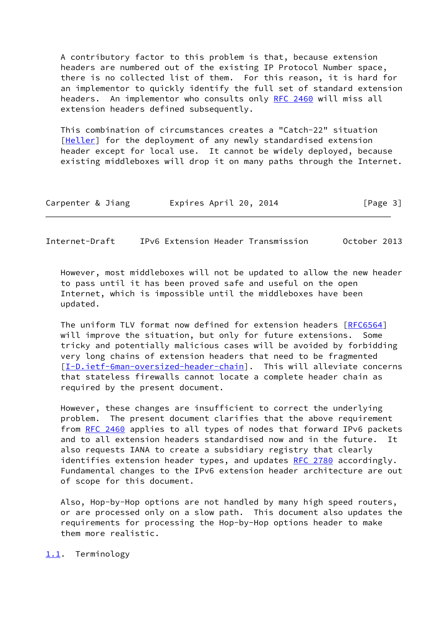A contributory factor to this problem is that, because extension headers are numbered out of the existing IP Protocol Number space, there is no collected list of them. For this reason, it is hard for an implementor to quickly identify the full set of standard extension headers. An implementor who consults only [RFC 2460](https://datatracker.ietf.org/doc/pdf/rfc2460) will miss all extension headers defined subsequently.

 This combination of circumstances creates a "Catch-22" situation [\[Heller](#page-9-6)] for the deployment of any newly standardised extension header except for local use. It cannot be widely deployed, because existing middleboxes will drop it on many paths through the Internet.

| Carpenter & Jiang | Expires April 20, 2014 | [Page 3] |
|-------------------|------------------------|----------|
|-------------------|------------------------|----------|

<span id="page-3-1"></span>Internet-Draft IPv6 Extension Header Transmission October 2013

 However, most middleboxes will not be updated to allow the new header to pass until it has been proved safe and useful on the open Internet, which is impossible until the middleboxes have been updated.

 The uniform TLV format now defined for extension headers [\[RFC6564](https://datatracker.ietf.org/doc/pdf/rfc6564)] will improve the situation, but only for future extensions. Some tricky and potentially malicious cases will be avoided by forbidding very long chains of extension headers that need to be fragmented [\[I-D.ietf-6man-oversized-header-chain](#page-9-4)]. This will alleviate concerns that stateless firewalls cannot locate a complete header chain as required by the present document.

 However, these changes are insufficient to correct the underlying problem. The present document clarifies that the above requirement from [RFC 2460](https://datatracker.ietf.org/doc/pdf/rfc2460) applies to all types of nodes that forward IPv6 packets and to all extension headers standardised now and in the future. It also requests IANA to create a subsidiary registry that clearly identifies extension header types, and updates [RFC 2780](https://datatracker.ietf.org/doc/pdf/rfc2780) accordingly. Fundamental changes to the IPv6 extension header architecture are out of scope for this document.

 Also, Hop-by-Hop options are not handled by many high speed routers, or are processed only on a slow path. This document also updates the requirements for processing the Hop-by-Hop options header to make them more realistic.

<span id="page-3-0"></span>[1.1](#page-3-0). Terminology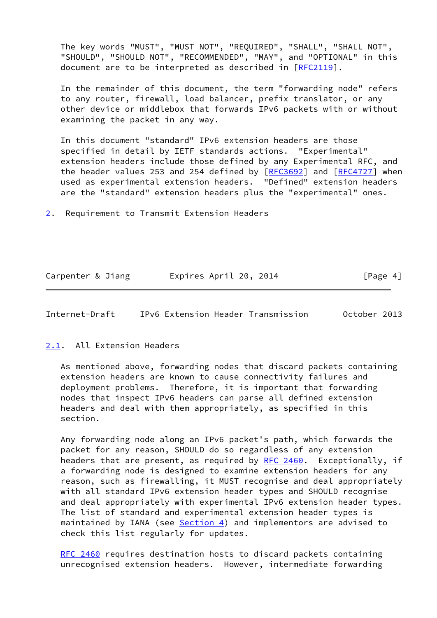The key words "MUST", "MUST NOT", "REQUIRED", "SHALL", "SHALL NOT", "SHOULD", "SHOULD NOT", "RECOMMENDED", "MAY", and "OPTIONAL" in this document are to be interpreted as described in [\[RFC2119](https://datatracker.ietf.org/doc/pdf/rfc2119)].

 In the remainder of this document, the term "forwarding node" refers to any router, firewall, load balancer, prefix translator, or any other device or middlebox that forwards IPv6 packets with or without examining the packet in any way.

 In this document "standard" IPv6 extension headers are those specified in detail by IETF standards actions. "Experimental" extension headers include those defined by any Experimental RFC, and the header values 253 and 254 defined by [\[RFC3692](https://datatracker.ietf.org/doc/pdf/rfc3692)] and [\[RFC4727](https://datatracker.ietf.org/doc/pdf/rfc4727)] when used as experimental extension headers. "Defined" extension headers are the "standard" extension headers plus the "experimental" ones.

<span id="page-4-0"></span>[2](#page-4-0). Requirement to Transmit Extension Headers

| Carpenter & Jiang | Expires April 20, 2014 | [Page 4] |
|-------------------|------------------------|----------|
|                   |                        |          |

<span id="page-4-2"></span>Internet-Draft IPv6 Extension Header Transmission October 2013

### <span id="page-4-1"></span>[2.1](#page-4-1). All Extension Headers

 As mentioned above, forwarding nodes that discard packets containing extension headers are known to cause connectivity failures and deployment problems. Therefore, it is important that forwarding nodes that inspect IPv6 headers can parse all defined extension headers and deal with them appropriately, as specified in this section.

 Any forwarding node along an IPv6 packet's path, which forwards the packet for any reason, SHOULD do so regardless of any extension headers that are present, as required by [RFC 2460](https://datatracker.ietf.org/doc/pdf/rfc2460). Exceptionally, if a forwarding node is designed to examine extension headers for any reason, such as firewalling, it MUST recognise and deal appropriately with all standard IPv6 extension header types and SHOULD recognise and deal appropriately with experimental IPv6 extension header types. The list of standard and experimental extension header types is maintained by IANA (see  $Section 4$ ) and implementors are advised to check this list regularly for updates.

 [RFC 2460](https://datatracker.ietf.org/doc/pdf/rfc2460) requires destination hosts to discard packets containing unrecognised extension headers. However, intermediate forwarding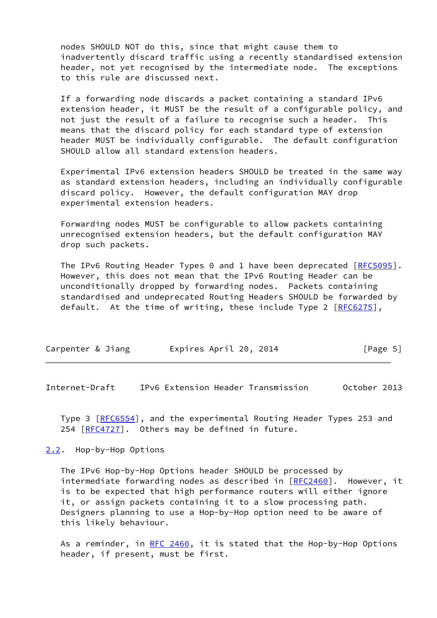nodes SHOULD NOT do this, since that might cause them to inadvertently discard traffic using a recently standardised extension header, not yet recognised by the intermediate node. The exceptions to this rule are discussed next.

 If a forwarding node discards a packet containing a standard IPv6 extension header, it MUST be the result of a configurable policy, and not just the result of a failure to recognise such a header. This means that the discard policy for each standard type of extension header MUST be individually configurable. The default configuration SHOULD allow all standard extension headers.

 Experimental IPv6 extension headers SHOULD be treated in the same way as standard extension headers, including an individually configurable discard policy. However, the default configuration MAY drop experimental extension headers.

 Forwarding nodes MUST be configurable to allow packets containing unrecognised extension headers, but the default configuration MAY drop such packets.

The IPv6 Routing Header Types 0 and 1 have been deprecated [[RFC5095\]](https://datatracker.ietf.org/doc/pdf/rfc5095). However, this does not mean that the IPv6 Routing Header can be unconditionally dropped by forwarding nodes. Packets containing standardised and undeprecated Routing Headers SHOULD be forwarded by default. At the time of writing, these include Type 2 [\[RFC6275](https://datatracker.ietf.org/doc/pdf/rfc6275)],

| Carpenter & Jiang | Expires April 20, 2014 | [Page 5] |
|-------------------|------------------------|----------|
|-------------------|------------------------|----------|

<span id="page-5-1"></span>Internet-Draft IPv6 Extension Header Transmission October 2013

 Type 3 [\[RFC6554](https://datatracker.ietf.org/doc/pdf/rfc6554)], and the experimental Routing Header Types 253 and 254 [\[RFC4727](https://datatracker.ietf.org/doc/pdf/rfc4727)]. Others may be defined in future.

## <span id="page-5-0"></span>[2.2](#page-5-0). Hop-by-Hop Options

 The IPv6 Hop-by-Hop Options header SHOULD be processed by intermediate forwarding nodes as described in [[RFC2460](https://datatracker.ietf.org/doc/pdf/rfc2460)]. However, it is to be expected that high performance routers will either ignore it, or assign packets containing it to a slow processing path. Designers planning to use a Hop-by-Hop option need to be aware of this likely behaviour.

As a reminder, in RFC  $2460$ , it is stated that the Hop-by-Hop Options header, if present, must be first.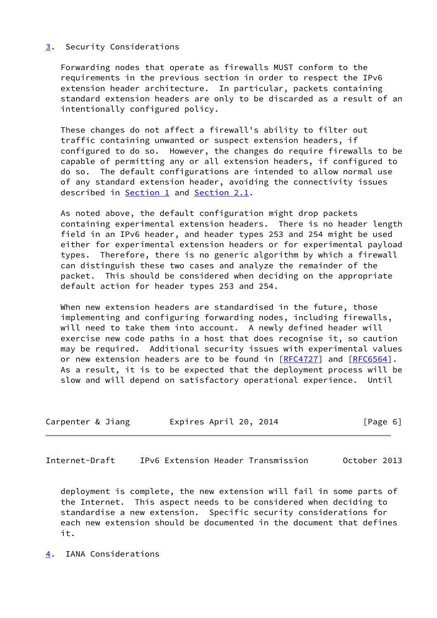# <span id="page-6-1"></span>[3](#page-6-1). Security Considerations

 Forwarding nodes that operate as firewalls MUST conform to the requirements in the previous section in order to respect the IPv6 extension header architecture. In particular, packets containing standard extension headers are only to be discarded as a result of an intentionally configured policy.

 These changes do not affect a firewall's ability to filter out traffic containing unwanted or suspect extension headers, if configured to do so. However, the changes do require firewalls to be capable of permitting any or all extension headers, if configured to do so. The default configurations are intended to allow normal use of any standard extension header, avoiding the connectivity issues described in [Section 1](#page-1-0) and [Section 2.1](#page-4-1).

 As noted above, the default configuration might drop packets containing experimental extension headers. There is no header length field in an IPv6 header, and header types 253 and 254 might be used either for experimental extension headers or for experimental payload types. Therefore, there is no generic algorithm by which a firewall can distinguish these two cases and analyze the remainder of the packet. This should be considered when deciding on the appropriate default action for header types 253 and 254.

 When new extension headers are standardised in the future, those implementing and configuring forwarding nodes, including firewalls, will need to take them into account. A newly defined header will exercise new code paths in a host that does recognise it, so caution may be required. Additional security issues with experimental values or new extension headers are to be found in [\[RFC4727](https://datatracker.ietf.org/doc/pdf/rfc4727)] and [[RFC6564](https://datatracker.ietf.org/doc/pdf/rfc6564)]. As a result, it is to be expected that the deployment process will be slow and will depend on satisfactory operational experience. Until

| Carpenter & Jiang | Expires April 20, 2014 | [Page 6] |
|-------------------|------------------------|----------|
|-------------------|------------------------|----------|

<span id="page-6-2"></span>Internet-Draft IPv6 Extension Header Transmission October 2013

 deployment is complete, the new extension will fail in some parts of the Internet. This aspect needs to be considered when deciding to standardise a new extension. Specific security considerations for each new extension should be documented in the document that defines it.

<span id="page-6-0"></span>[4](#page-6-0). IANA Considerations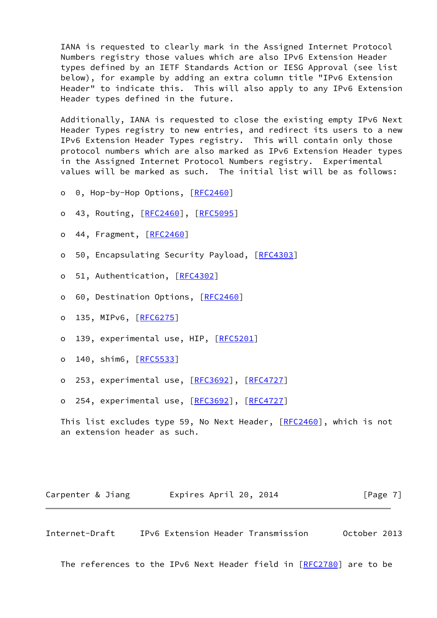IANA is requested to clearly mark in the Assigned Internet Protocol Numbers registry those values which are also IPv6 Extension Header types defined by an IETF Standards Action or IESG Approval (see list below), for example by adding an extra column title "IPv6 Extension Header" to indicate this. This will also apply to any IPv6 Extension Header types defined in the future.

 Additionally, IANA is requested to close the existing empty IPv6 Next Header Types registry to new entries, and redirect its users to a new IPv6 Extension Header Types registry. This will contain only those protocol numbers which are also marked as IPv6 Extension Header types in the Assigned Internet Protocol Numbers registry. Experimental values will be marked as such. The initial list will be as follows:

- o 0, Hop-by-Hop Options, [[RFC2460](https://datatracker.ietf.org/doc/pdf/rfc2460)]
- o 43, Routing, [\[RFC2460](https://datatracker.ietf.org/doc/pdf/rfc2460)], [[RFC5095\]](https://datatracker.ietf.org/doc/pdf/rfc5095)
- o 44, Fragment, [\[RFC2460](https://datatracker.ietf.org/doc/pdf/rfc2460)]
- o 50, Encapsulating Security Payload, [\[RFC4303](https://datatracker.ietf.org/doc/pdf/rfc4303)]
- o 51, Authentication, [\[RFC4302](https://datatracker.ietf.org/doc/pdf/rfc4302)]
- o 60, Destination Options, [\[RFC2460](https://datatracker.ietf.org/doc/pdf/rfc2460)]
- o 135, MIPv6, [\[RFC6275](https://datatracker.ietf.org/doc/pdf/rfc6275)]
- o 139, experimental use, HIP, [\[RFC5201](https://datatracker.ietf.org/doc/pdf/rfc5201)]
- o 140, shim6, [\[RFC5533](https://datatracker.ietf.org/doc/pdf/rfc5533)]
- o 253, experimental use, [[RFC3692](https://datatracker.ietf.org/doc/pdf/rfc3692)], [\[RFC4727](https://datatracker.ietf.org/doc/pdf/rfc4727)]
- o 254, experimental use, [[RFC3692](https://datatracker.ietf.org/doc/pdf/rfc3692)], [\[RFC4727](https://datatracker.ietf.org/doc/pdf/rfc4727)]

This list excludes type 59, No Next Header, [\[RFC2460](https://datatracker.ietf.org/doc/pdf/rfc2460)], which is not an extension header as such.

| Carpenter & Jiang |  | Expires April 20, 2014 |  | [Page 7] |  |
|-------------------|--|------------------------|--|----------|--|
|-------------------|--|------------------------|--|----------|--|

<span id="page-7-0"></span>Internet-Draft IPv6 Extension Header Transmission October 2013

The references to the IPv6 Next Header field in [\[RFC2780](https://datatracker.ietf.org/doc/pdf/rfc2780)] are to be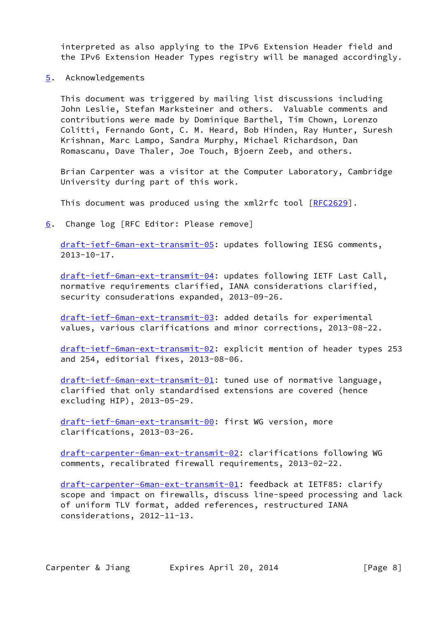interpreted as also applying to the IPv6 Extension Header field and the IPv6 Extension Header Types registry will be managed accordingly.

<span id="page-8-0"></span>[5](#page-8-0). Acknowledgements

 This document was triggered by mailing list discussions including John Leslie, Stefan Marksteiner and others. Valuable comments and contributions were made by Dominique Barthel, Tim Chown, Lorenzo Colitti, Fernando Gont, C. M. Heard, Bob Hinden, Ray Hunter, Suresh Krishnan, Marc Lampo, Sandra Murphy, Michael Richardson, Dan Romascanu, Dave Thaler, Joe Touch, Bjoern Zeeb, and others.

 Brian Carpenter was a visitor at the Computer Laboratory, Cambridge University during part of this work.

This document was produced using the xml2rfc tool [[RFC2629](https://datatracker.ietf.org/doc/pdf/rfc2629)].

<span id="page-8-1"></span>[6](#page-8-1). Change log [RFC Editor: Please remove]

 [draft-ietf-6man-ext-transmit-05](https://datatracker.ietf.org/doc/pdf/draft-ietf-6man-ext-transmit-05): updates following IESG comments, 2013-10-17.

 [draft-ietf-6man-ext-transmit-04](https://datatracker.ietf.org/doc/pdf/draft-ietf-6man-ext-transmit-04): updates following IETF Last Call, normative requirements clarified, IANA considerations clarified, security consuderations expanded, 2013-09-26.

 [draft-ietf-6man-ext-transmit-03](https://datatracker.ietf.org/doc/pdf/draft-ietf-6man-ext-transmit-03): added details for experimental values, various clarifications and minor corrections, 2013-08-22.

 [draft-ietf-6man-ext-transmit-02](https://datatracker.ietf.org/doc/pdf/draft-ietf-6man-ext-transmit-02): explicit mention of header types 253 and 254, editorial fixes, 2013-08-06.

 [draft-ietf-6man-ext-transmit-01](https://datatracker.ietf.org/doc/pdf/draft-ietf-6man-ext-transmit-01): tuned use of normative language, clarified that only standardised extensions are covered (hence excluding HIP), 2013-05-29.

 [draft-ietf-6man-ext-transmit-00](https://datatracker.ietf.org/doc/pdf/draft-ietf-6man-ext-transmit-00): first WG version, more clarifications, 2013-03-26.

 [draft-carpenter-6man-ext-transmit-02](https://datatracker.ietf.org/doc/pdf/draft-carpenter-6man-ext-transmit-02): clarifications following WG comments, recalibrated firewall requirements, 2013-02-22.

 [draft-carpenter-6man-ext-transmit-01](https://datatracker.ietf.org/doc/pdf/draft-carpenter-6man-ext-transmit-01): feedback at IETF85: clarify scope and impact on firewalls, discuss line-speed processing and lack of uniform TLV format, added references, restructured IANA considerations, 2012-11-13.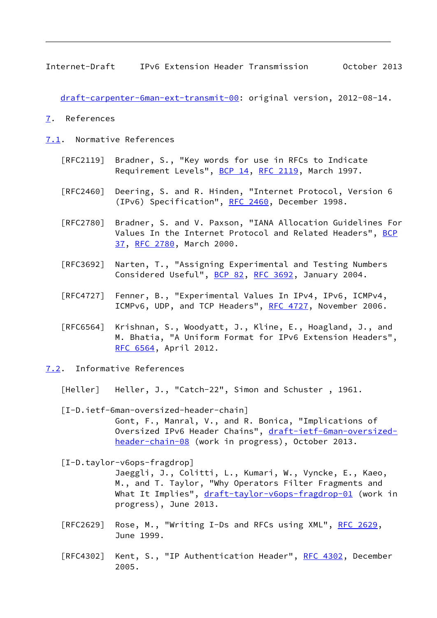<span id="page-9-1"></span>Internet-Draft IPv6 Extension Header Transmission October 2013

[draft-carpenter-6man-ext-transmit-00](https://datatracker.ietf.org/doc/pdf/draft-carpenter-6man-ext-transmit-00): original version, 2012-08-14.

- <span id="page-9-0"></span>[7](#page-9-0). References
- <span id="page-9-2"></span>[7.1](#page-9-2). Normative References
	- [RFC2119] Bradner, S., "Key words for use in RFCs to Indicate Requirement Levels", [BCP 14](https://datatracker.ietf.org/doc/pdf/bcp14), [RFC 2119](https://datatracker.ietf.org/doc/pdf/rfc2119), March 1997.
	- [RFC2460] Deering, S. and R. Hinden, "Internet Protocol, Version 6 (IPv6) Specification", [RFC 2460](https://datatracker.ietf.org/doc/pdf/rfc2460), December 1998.
	- [RFC2780] Bradner, S. and V. Paxson, "IANA Allocation Guidelines For Values In the Internet Protocol and Related Headers", [BCP](https://datatracker.ietf.org/doc/pdf/bcp37) [37,](https://datatracker.ietf.org/doc/pdf/bcp37) [RFC 2780,](https://datatracker.ietf.org/doc/pdf/rfc2780) March 2000.
	- [RFC3692] Narten, T., "Assigning Experimental and Testing Numbers Considered Useful", [BCP 82](https://datatracker.ietf.org/doc/pdf/bcp82), [RFC 3692,](https://datatracker.ietf.org/doc/pdf/rfc3692) January 2004.
	- [RFC4727] Fenner, B., "Experimental Values In IPv4, IPv6, ICMPv4, ICMPv6, UDP, and TCP Headers", [RFC 4727](https://datatracker.ietf.org/doc/pdf/rfc4727), November 2006.
	- [RFC6564] Krishnan, S., Woodyatt, J., Kline, E., Hoagland, J., and M. Bhatia, "A Uniform Format for IPv6 Extension Headers", [RFC 6564,](https://datatracker.ietf.org/doc/pdf/rfc6564) April 2012.
- <span id="page-9-6"></span><span id="page-9-4"></span><span id="page-9-3"></span>[7.2](#page-9-3). Informative References
	- [Heller] Heller, J., "Catch-22", Simon and Schuster , 1961.
	- [I-D.ietf-6man-oversized-header-chain] Gont, F., Manral, V., and R. Bonica, "Implications of Oversized IPv6 Header Chains", [draft-ietf-6man-oversized](https://datatracker.ietf.org/doc/pdf/draft-ietf-6man-oversized-header-chain-08) [header-chain-08](https://datatracker.ietf.org/doc/pdf/draft-ietf-6man-oversized-header-chain-08) (work in progress), October 2013.

<span id="page-9-5"></span>[I-D.taylor-v6ops-fragdrop]

 Jaeggli, J., Colitti, L., Kumari, W., Vyncke, E., Kaeo, M., and T. Taylor, "Why Operators Filter Fragments and What It Implies", [draft-taylor-v6ops-fragdrop-01](https://datatracker.ietf.org/doc/pdf/draft-taylor-v6ops-fragdrop-01) (work in progress), June 2013.

- [RFC2629] Rose, M., "Writing I-Ds and RFCs using XML", [RFC 2629](https://datatracker.ietf.org/doc/pdf/rfc2629), June 1999.
- [RFC4302] Kent, S., "IP Authentication Header", [RFC 4302](https://datatracker.ietf.org/doc/pdf/rfc4302), December 2005.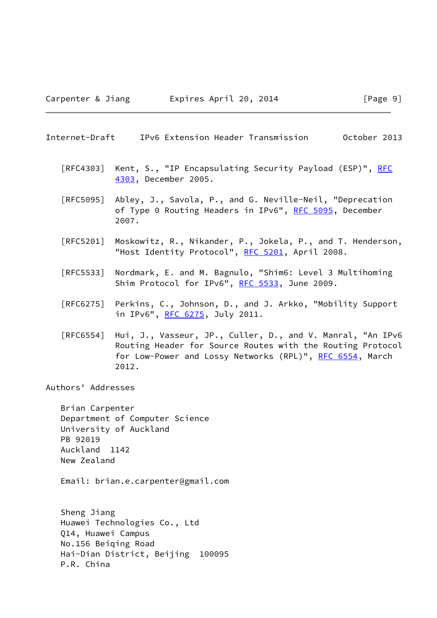### <span id="page-10-0"></span>Internet-Draft IPv6 Extension Header Transmission October 2013

- [RFC4303] Kent, S., "IP Encapsulating Security Payload (ESP)", [RFC](https://datatracker.ietf.org/doc/pdf/rfc4303) [4303,](https://datatracker.ietf.org/doc/pdf/rfc4303) December 2005.
- [RFC5095] Abley, J., Savola, P., and G. Neville-Neil, "Deprecation of Type 0 Routing Headers in IPv6", [RFC 5095,](https://datatracker.ietf.org/doc/pdf/rfc5095) December 2007.
- [RFC5201] Moskowitz, R., Nikander, P., Jokela, P., and T. Henderson, "Host Identity Protocol", [RFC 5201](https://datatracker.ietf.org/doc/pdf/rfc5201), April 2008.
- [RFC5533] Nordmark, E. and M. Bagnulo, "Shim6: Level 3 Multihoming Shim Protocol for IPv6", [RFC 5533,](https://datatracker.ietf.org/doc/pdf/rfc5533) June 2009.
- [RFC6275] Perkins, C., Johnson, D., and J. Arkko, "Mobility Support in IPv6", [RFC 6275](https://datatracker.ietf.org/doc/pdf/rfc6275), July 2011.
- [RFC6554] Hui, J., Vasseur, JP., Culler, D., and V. Manral, "An IPv6 Routing Header for Source Routes with the Routing Protocol for Low-Power and Lossy Networks (RPL)", [RFC 6554,](https://datatracker.ietf.org/doc/pdf/rfc6554) March 2012.

Authors' Addresses

 Brian Carpenter Department of Computer Science University of Auckland PB 92019 Auckland 1142 New Zealand

Email: brian.e.carpenter@gmail.com

 Sheng Jiang Huawei Technologies Co., Ltd Q14, Huawei Campus No.156 Beiqing Road Hai-Dian District, Beijing 100095 P.R. China